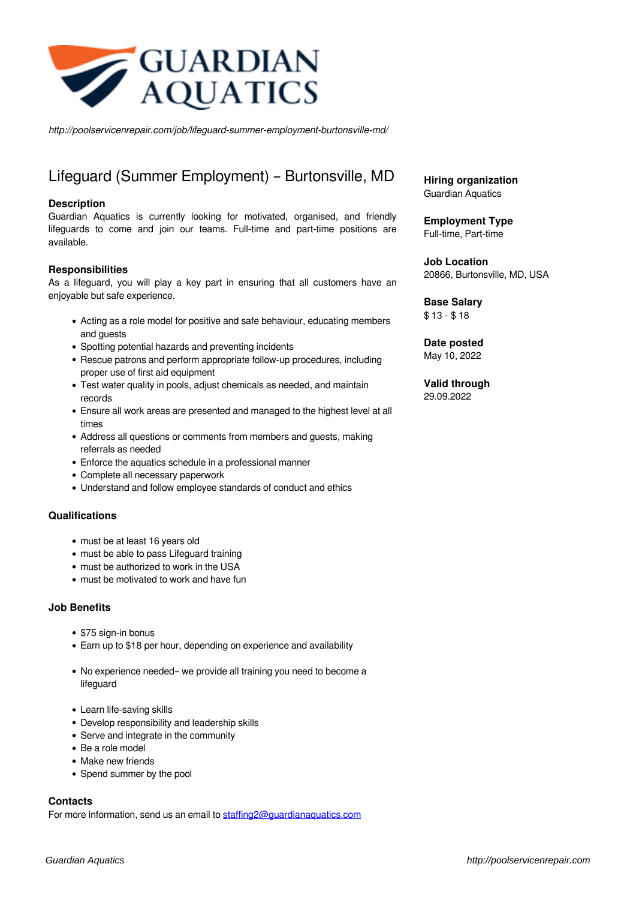

*http://poolservicenrepair.com/job/lifeguard-summer-employment-burtonsville-md/*

# Lifeguard (Summer Employment) – Burtonsville, MD

#### **Description**

Guardian Aquatics is currently looking for motivated, organised, and friendly lifeguards to come and join our teams. Full-time and part-time positions are available.

#### **Responsibilities**

As a lifeguard, you will play a key part in ensuring that all customers have an enjoyable but safe experience.

- Acting as a role model for positive and safe behaviour, educating members and guests
- Spotting potential hazards and preventing incidents
- Rescue patrons and perform appropriate follow-up procedures, including proper use of first aid equipment
- Test water quality in pools, adjust chemicals as needed, and maintain records
- Ensure all work areas are presented and managed to the highest level at all times
- Address all questions or comments from members and guests, making referrals as needed
- Enforce the aquatics schedule in a professional manner
- Complete all necessary paperwork
- Understand and follow employee standards of conduct and ethics

#### **Qualifications**

- must be at least 16 years old
- must be able to pass Lifeguard training
- must be authorized to work in the USA
- must be motivated to work and have fun

#### **Job Benefits**

- \$75 sign-in bonus
- Earn up to \$18 per hour, depending on experience and availability
- No experience needed– we provide all training you need to become a lifeguard
- Learn life-saving skills
- Develop responsibility and leadership skills
- Serve and integrate in the community
- Be a role model
- Make new friends
- Spend summer by the pool

### **Contacts**

For more information, send us an email to staffing 2@guardianaquatics.com

**Hiring organization** Guardian Aquatics

**Employment Type** Full-time, Part-time

**Job Location** 20866, Burtonsville, MD, USA

## **Base Salary**

\$ 13 - \$ 18

**Date posted** May 10, 2022

**Valid through** 29.09.2022